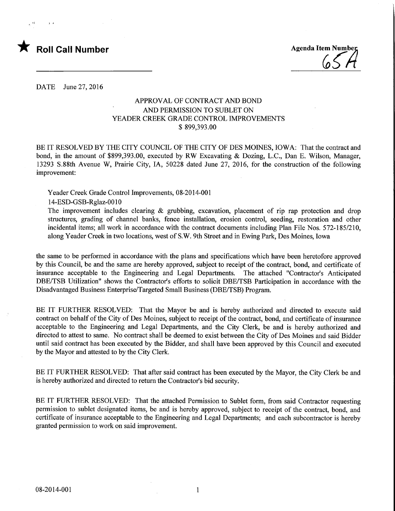# **Roll Call Number Agenda Item Number** Agenda Item Number

DATE June 27, 2016

## APPROVAL OF CONTRACT AND BOND AND PERMISSION TO SUBLET ON YEADER CREEK GRADE CONTROL IMPROVEMENTS \$ 899,393.00

BE IT RESOLVED BY THE CITY COUNCIL OF THE CITY OF DES MOINES, IOWA: That the contract and bond, in the amount of \$899,393.00, executed by RW Excavating & Dozing, L.C., Dan E. Wilson, Manager, 13293 S.88th Avenue W, Prairie City, IA, 50228 dated June 27, 2016, for the construction of the following improvement:

Yeader Creek Grade Control Improvements, 08-2014-001

14-ESD-GSB-Rglaz-OOlO

The improvement includes clearing  $\&$  grubbing, excavation, placement of rip rap protection and drop structures, grading of channel banks, fence installation, erosion control, seeding, restoration and other incidental items; all work in accordance with the contract documents including Plan File Nos. 572-185/210, along Yeader Creek in two locations, west of S.W. 9th Street and in Ewing Park, Des Moines, Iowa

the same to be performed in accordance with the plans and specifications which have been heretofore approved by this Council, be and the same are hereby approved, subject to receipt of the contract, bond, and certificate of insurance acceptable to the Engineering and Legal Departments. The attached "Contractor's Anticipated DBE/TSB Utilization" shows the Contractor's efforts to solicit DBE/TSB Participation in accordance with the Disadvantaged Business Enterprise/Targeted Small Business (DBE/TSB) Program.

BE IT FURTHER RESOLVED: That the Mayor be and is hereby authorized and directed to execute said contract on behalf of the City of Des Moines, subject to receipt of the contract, bond, and certificate of insurance acceptable to the Engineering and Legal Departments, and the City Clerk, be and is hereby authorized and directed to attest to same. No contract shall be deemed to exist between the City of Des Moines and said Bidder until said contract has been executed by the Bidder, and shall have been approved by this Council and executed by the Mayor and attested to by the City Clerk.

BE IT FURTHER RESOLVED: That after said contract has been executed by the Mayor, the City Clerk be and is hereby authorized and directed to return the Contractor's bid security.

BE IT FURTHER RESOLVED: That the attached Permission to Sublet form, from said Contractor requesting permission to sublet designated items, be and is hereby approved, subject to receipt of the contract, bond, and certificate of insurance acceptable to the Engineering and Legal Departments; and each subcontractor is hereby granted permission to work on said improvement.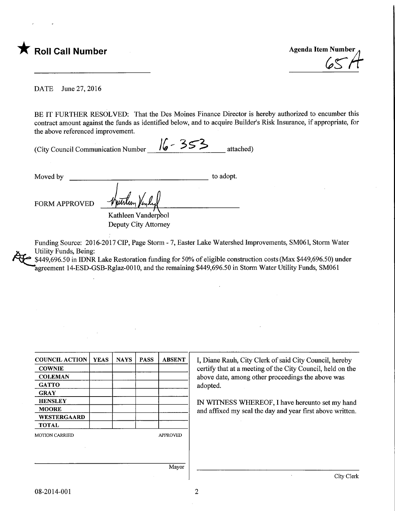

DATE June 27, 2016

BE IT FURTHER RESOLVED: That the Des Moines Finance Director is hereby authorized to encumber this contract amount against the funds as identified below, and to acquire Builder's Risk Insurance, if appropriate, for the above referenced improvement.

|                                    | $\frac{1}{4}$ - 2> > | $\mathcal{L}$ $\mathcal{D}$ $\mathcal{L}$ | attached) |
|------------------------------------|----------------------|-------------------------------------------|-----------|
| (City Council Communication Number |                      |                                           |           |

Moved by to adopt. FORM APPROVED Kathleen Vanderpool

Deputy City Attorney

Funding Source: 2016-2017 CIP, Page Storm - 7, Easter Lake Watershed Improvements, SM061, Storm Water Utility Funds, Being:

\$449,696.50 in IDNR Lake Restoration funding for 50% of eligible construction costs (Max \$449,696.50) under agreement 14-ESD-GSB-Rglaz-0010, and the remaining \$449,696.50 in Storm Water Utility Funds, SM061

| <b>COUNCIL ACTION</b> | <b>YEAS</b> | <b>NAYS</b> | <b>PASS</b> | <b>ABSENT</b>   | I, Diane Rauh, City Clerk of said City Council, hereby     |
|-----------------------|-------------|-------------|-------------|-----------------|------------------------------------------------------------|
| <b>COWNIE</b>         |             |             |             |                 | certify that at a meeting of the City Council, held on the |
| <b>COLEMAN</b>        |             |             |             |                 | above date, among other proceedings the above was          |
| <b>GATTO</b>          |             |             |             |                 | adopted.                                                   |
| <b>GRAY</b>           |             |             |             |                 |                                                            |
| <b>HENSLEY</b>        |             |             |             |                 | IN WITNESS WHEREOF, I have hereunto set my hand            |
| <b>MOORE</b>          |             |             |             |                 | and affixed my seal the day and year first above written.  |
| <b>WESTERGAARD</b>    |             |             |             |                 |                                                            |
| <b>TOTAL</b>          |             |             |             |                 |                                                            |
| <b>MOTION CARRIED</b> |             |             |             | <b>APPROVED</b> |                                                            |
|                       |             |             |             |                 |                                                            |
|                       |             |             |             |                 |                                                            |
|                       |             |             |             | Mayor           |                                                            |
|                       |             |             |             |                 | City Clerk                                                 |

 $\overline{2}$